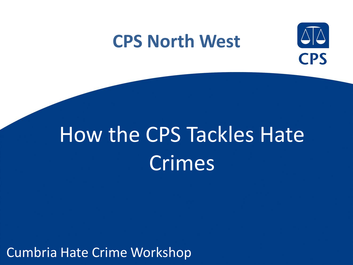### **CPS North West**



# How the CPS Tackles Hate Crimes

Cumbria Hate Crime Workshop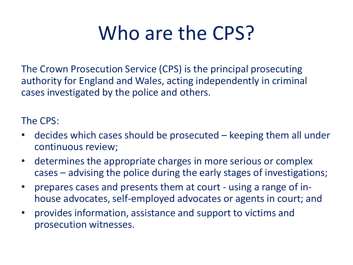## Who are the CPS?

The Crown Prosecution Service (CPS) is the principal prosecuting authority for England and Wales, acting independently in criminal cases investigated by the police and others.

The CPS:

- decides which cases should be prosecuted keeping them all under continuous review;
- determines the appropriate charges in more serious or complex cases – advising the police during the early stages of investigations;
- prepares cases and presents them at court using a range of inhouse advocates, self-employed advocates or agents in court; and
- provides information, assistance and support to victims and prosecution witnesses.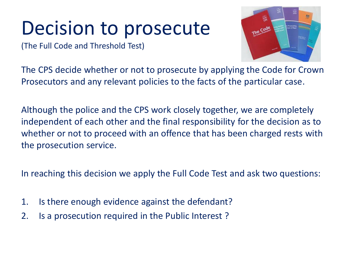### Decision to prosecute

(The Full Code and Threshold Test)



The CPS decide whether or not to prosecute by applying the Code for Crown Prosecutors and any relevant policies to the facts of the particular case.

Although the police and the CPS work closely together, we are completely independent of each other and the final responsibility for the decision as to whether or not to proceed with an offence that has been charged rests with the prosecution service.

In reaching this decision we apply the Full Code Test and ask two questions:

- 1. Is there enough evidence against the defendant?
- 2. Is a prosecution required in the Public Interest ?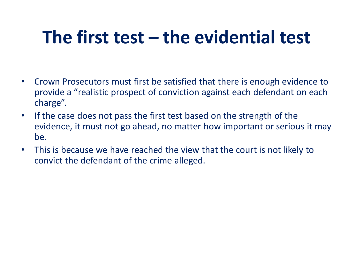### **The first test – the evidential test**

- Crown Prosecutors must first be satisfied that there is enough evidence to provide a "realistic prospect of conviction against each defendant on each charge".
- If the case does not pass the first test based on the strength of the evidence, it must not go ahead, no matter how important or serious it may be.
- This is because we have reached the view that the court is not likely to convict the defendant of the crime alleged.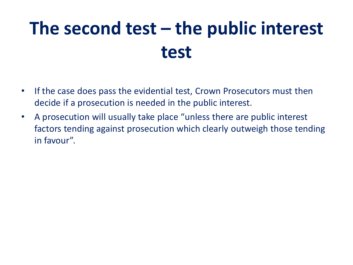### **The second test – the public interest test**

- If the case does pass the evidential test, Crown Prosecutors must then decide if a prosecution is needed in the public interest.
- A prosecution will usually take place "unless there are public interest factors tending against prosecution which clearly outweigh those tending in favour".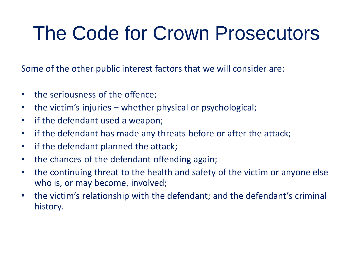## The Code for Crown Prosecutors

Some of the other public interest factors that we will consider are:

- the seriousness of the offence;
- the victim's injuries whether physical or psychological;
- if the defendant used a weapon;
- if the defendant has made any threats before or after the attack;
- if the defendant planned the attack;
- the chances of the defendant offending again;
- the continuing threat to the health and safety of the victim or anyone else who is, or may become, involved;
- the victim's relationship with the defendant; and the defendant's criminal history.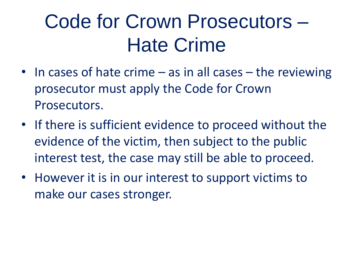## Code for Crown Prosecutors – Hate Crime

- In cases of hate crime as in all cases the reviewing prosecutor must apply the Code for Crown Prosecutors.
- If there is sufficient evidence to proceed without the evidence of the victim, then subject to the public interest test, the case may still be able to proceed.
- However it is in our interest to support victims to make our cases stronger.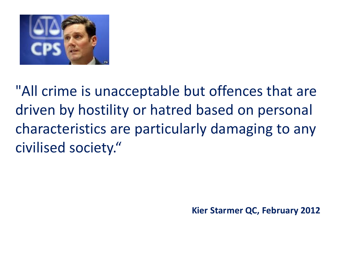

"All crime is unacceptable but offences that are driven by hostility or hatred based on personal characteristics are particularly damaging to any civilised society."

**Kier Starmer QC, February 2012**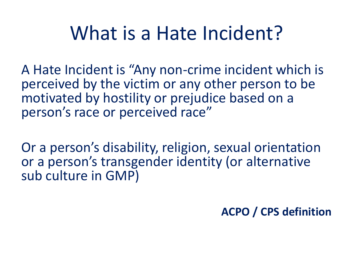### What is a Hate Incident?

A Hate Incident is "Any non-crime incident which is perceived by the victim or any other person to be motivated by hostility or prejudice based on a person's race or perceived race"

Or a person's disability, religion, sexual orientation or a person's transgender identity (or alternative sub culture in GMP)

**ACPO / CPS definition**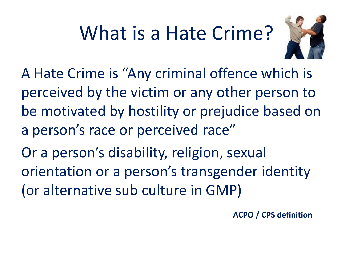# What is a Hate Crime?



A Hate Crime is "Any criminal offence which is perceived by the victim or any other person to be motivated by hostility or prejudice based on a person's race or perceived race"

Or a person's disability, religion, sexual orientation or a person's transgender identity (or alternative sub culture in GMP)

**ACPO / CPS definition**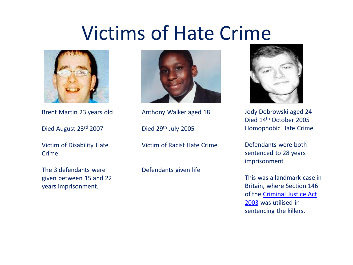### Victims of Hate Cri[me](http://en.wikipedia.org/wiki/File:Jody-dobrowski.jpg)



Brent Martin 23 years old

Died August 23rd 2007

Victim of Disability Hate Crime

The 3 defendants were given between 15 and 22 years imprisonment.



Anthony Walker aged 18

Died 29<sup>th</sup> July 2005

Victim of Racist Hate Crime

Defendants given life



Jody Dobrowski aged 24 Died 14th October 2005 Homophobic Hate Crime

Defendants were both sentenced to 28 years imprisonment

This was a landmark case in Britain, where Section 146 of the [Criminal Justice Act](http://en.wikipedia.org/wiki/Criminal_Justice_Act_2003)  [2003](http://en.wikipedia.org/wiki/Criminal_Justice_Act_2003) was utilised in sentencing the killers.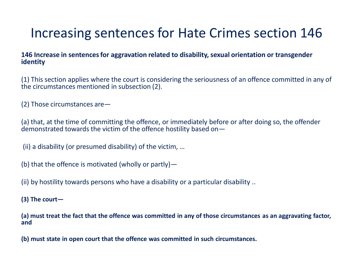### Increasing sentences for Hate Crimes section 146

#### **146 Increase in sentences for aggravation related to disability, sexual orientation or transgender identity**

(1) This section applies where the court is considering the seriousness of an offence committed in any of the circumstances mentioned in subsection (2).

(2) Those circumstances are—

(a) that, at the time of committing the offence, or immediately before or after doing so, the offender demonstrated towards the victim of the offence hostility based on—

(ii) a disability (or presumed disability) of the victim, …

(b) that the offence is motivated (wholly or partly) —

(ii) by hostility towards persons who have a disability or a particular disability ..

**(3) The court—**

**(a) must treat the fact that the offence was committed in any of those circumstances as an aggravating factor, and**

**(b) must state in open court that the offence was committed in such circumstances.**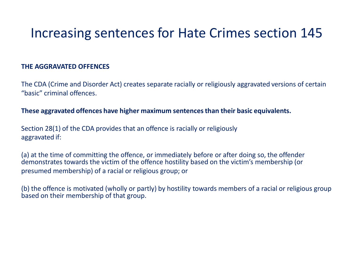#### Increasing sentences for Hate Crimes section 145

#### **THE AGGRAVATED OFFENCES**

The CDA (Crime and Disorder Act) creates separate racially or religiously aggravated versions of certain "basic" criminal offences.

#### **These aggravated offences have higher maximum sentences than their basic equivalents.**

Section 28(1) of the CDA provides that an offence is racially or religiously aggravated if:

(a) at the time of committing the offence, or immediately before or after doing so, the offender demonstrates towards the victim of the offence hostility based on the victim's membership (or presumed membership) of a racial or religious group; or

(b) the offence is motivated (wholly or partly) by hostility towards members of a racial or religious group based on their membership of that group.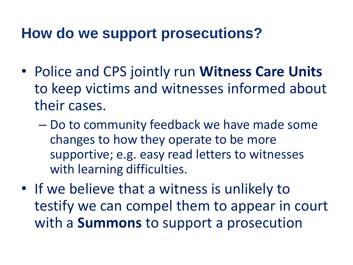### **How do we support prosecutions?**

- Police and CPS jointly run **Witness Care Units**  to keep victims and witnesses informed about their cases.
	- Do to community feedback we have made some changes to how they operate to be more supportive; e.g. easy read letters to witnesses with learning difficulties.
- If we believe that a witness is unlikely to testify we can compel them to appear in court with a **Summons** to support a prosecution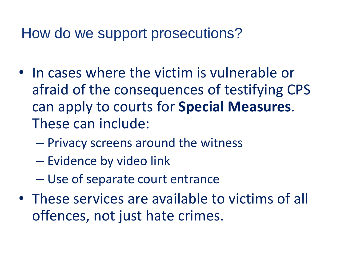### How do we support prosecutions?

- In cases where the victim is vulnerable or afraid of the consequences of testifying CPS can apply to courts for **Special Measures**. These can include:
	- Privacy screens around the witness
	- Evidence by video link
	- Use of separate court entrance
- These services are available to victims of all offences, not just hate crimes.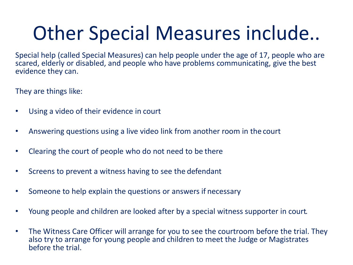# Other Special Measures include..

Special help (called Special Measures) can help people under the age of 17, people who are scared, elderly or disabled, and people who have problems communicating, give the best evidence they can.

They are things like:

- Using a video of their evidence in court
- Answering questions using a live video link from another room in the court
- Clearing the court of people who do not need to be there
- Screens to prevent a witness having to see the defendant
- Someone to help explain the questions or answers if necessary
- Young people and children are looked after by a special witness supporter in court.
- The Witness Care Officer will arrange for you to see the courtroom before the trial. They also try to arrange for young people and children to meet the Judge or Magistrates before the trial.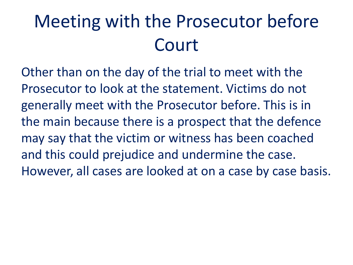### Meeting with the Prosecutor before Court

Other than on the day of the trial to meet with the Prosecutor to look at the statement. Victims do not generally meet with the Prosecutor before. This is in the main because there is a prospect that the defence may say that the victim or witness has been coached and this could prejudice and undermine the case. However, all cases are looked at on a case by case basis.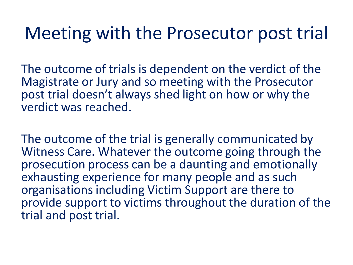### Meeting with the Prosecutor post trial

The outcome of trials is dependent on the verdict of the Magistrate or Jury and so meeting with the Prosecutor post trial doesn't always shed light on how or why the verdict was reached.

The outcome of the trial is generally communicated by Witness Care. Whatever the outcome going through the prosecution process can be a daunting and emotionally exhausting experience for many people and as such organisations including Victim Support are there to provide support to victims throughout the duration of the trial and post trial.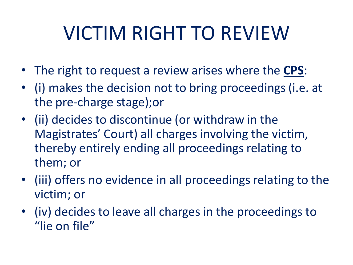# VICTIM RIGHT TO REVIEW

- The right to request a review arises where the **CPS**:
- (i) makes the decision not to bring proceedings (i.e. at the pre-charge stage);or
- (ii) decides to discontinue (or withdraw in the Magistrates' Court) all charges involving the victim, thereby entirely ending all proceedings relating to them; or
- (iii) offers no evidence in all proceedings relating to the victim; or
- (iv) decides to leave all charges in the proceedings to "lie on file"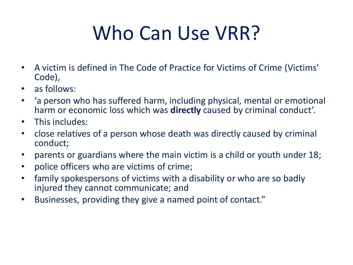# Who Can Use VRR?

- A victim is defined in The Code of Practice for Victims of Crime (Victims' Code),
- as follows:
- 'a person who has suffered harm, including physical, mental or emotional harm or economic loss which was **directly** caused by criminal conduct'.
- This includes:
- close relatives of a person whose death was directly caused by criminal conduct;
- parents or guardians where the main victim is a child or youth under 18;
- police officers who are victims of crime;
- family spokespersons of victims with a disability or who are so badly injured they cannot communicate; and
- Businesses, providing they give a named point of contact."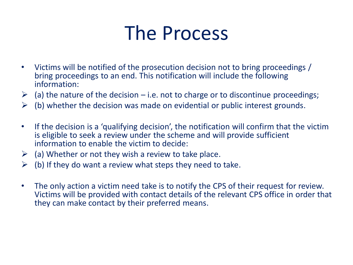### The Process

- Victims will be notified of the prosecution decision not to bring proceedings / bring proceedings to an end. This notification will include the following information:
- $\geq$  (a) the nature of the decision i.e. not to charge or to discontinue proceedings;
- $\triangleright$  (b) whether the decision was made on evidential or public interest grounds.
- If the decision is a 'qualifying decision', the notification will confirm that the victim is eligible to seek a review under the scheme and will provide sufficient information to enable the victim to decide:
- $\triangleright$  (a) Whether or not they wish a review to take place.
- $\triangleright$  (b) If they do want a review what steps they need to take.
- The only action a victim need take is to notify the CPS of their request for review. Victims will be provided with contact details of the relevant CPS office in order that they can make contact by their preferred means.